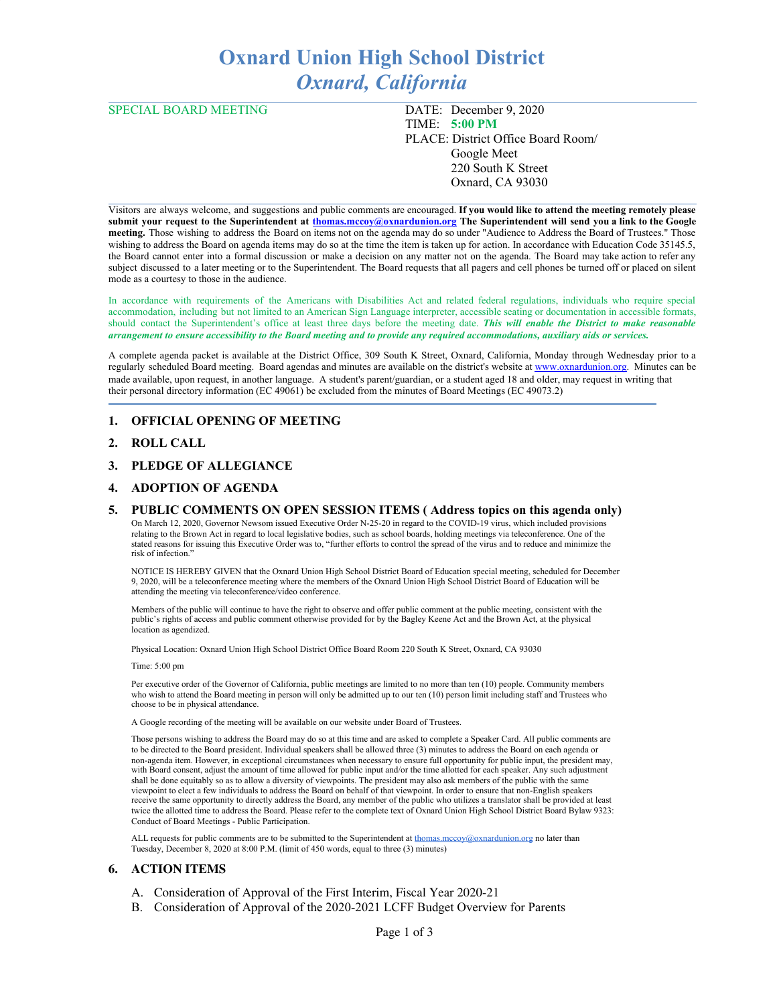# **Oxnard Union High School District** *Oxnard, California*

SPECIAL BOARD MEETING DATE: December 9, 2020 TIME: **5:00 PM** PLACE: District Office Board Room/ Google Meet 220 South K Street Oxnard, CA 93030

Visitors are always welcome, and suggestions and public comments are encouraged. **If you would like to attend the meeting remotely please** submit your request to the Superintendent at [thomas.mccoy@oxnardunion.org](mailto:thomas.mccoy@oxnardunion.org) The Superintendent will send you a link to the Google **meeting.** Those wishing to address the Board on items not on the agenda may do so under "Audience to Address the Board of Trustees." Those wishing to address the Board on agenda items may do so at the time the item is taken up for action. In accordance with Education Code 35145.5, the Board cannot enter into a formal discussion or make a decision on any matter not on the agenda. The Board may take action to refer any subject discussed to a later meeting or to the Superintendent. The Board requests that all pagers and cell phones be turned off or placed on silent mode as a courtesy to those in the audience.

In accordance with requirements of the Americans with Disabilities Act and related federal regulations, individuals who require special accommodation, including but not limited to an American Sign Language interpreter, accessible seating or documentation in accessible formats, should contact the Superintendent's office at least three days before the meeting date. *This will enable the District to make reasonable* arrangement to ensure accessibility to the Board meeting and to provide any required accommodations, auxiliary aids or services.

A complete agenda packet is available at the District Office, 309 South K Street, Oxnard, California, Monday through Wednesday prior to a regularly scheduled Board meeting. Board agendas and minutes are available on the district's website at [www.ox](http://www.o/)nardunion.org. Minutes can be made available, upon request, in another language. A student's parent/guardian, or a student aged 18 and older, may request in writing that their personal directory information (EC 49061) be excluded from the minutes of Board Meetings (EC 49073.2)

# **1. OFFICIAL OPENING OF MEETING**

# **2. ROLL CALL**

# **3. PLEDGE OF ALLEGIANCE**

# **4. ADOPTION OF AGENDA**

#### **5. PUBLIC COMMENTS ON OPEN SESSION ITEMS ( Address topics on this agenda only)**

On March 12, 2020, Governor Newsom issued Executive Order N-25-20 in regard to the COVID-19 virus, which included provisions relating to the Brown Act in regard to local legislative bodies, such as school boards, holding meetings via teleconference. One of the stated reasons for issuing this Executive Order was to, "further efforts to control the spread of the virus and to reduce and minimize the risk of infection."

NOTICE IS HEREBY GIVEN that the Oxnard Union High School District Board of Education special meeting, scheduled for December 9, 2020, will be a teleconference meeting where the members of the Oxnard Union High School District Board of Education will be attending the meeting via teleconference/video conference.

Members of the public will continue to have the right to observe and offer public comment at the public meeting, consistent with the public's rights of access and public comment otherwise provided for by the Bagley Keene Act and the Brown Act, at the physical location as agendized.

Physical Location: Oxnard Union High School District Office Board Room 220 South K Street, Oxnard, CA 93030

#### Time: 5:00 pm

Per executive order of the Governor of California, public meetings are limited to no more than ten (10) people. Community members who wish to attend the Board meeting in person will only be admitted up to our ten (10) person limit including staff and Trustees who choose to be in physical attendance.

A Google recording of the meeting will be available on our website under Board of Trustees.

Those persons wishing to address the Board may do so at this time and are asked to complete a Speaker Card. All public comments are to be directed to the Board president. Individual speakers shall be allowed three (3) minutes to address the Board on each agenda or non-agenda item. However, in exceptional circumstances when necessary to ensure full opportunity for public input, the president may, with Board consent, adjust the amount of time allowed for public input and/or the time allotted for each speaker. Any such adjustment shall be done equitably so as to allow a diversity of viewpoints. The president may also ask members of the public with the same viewpoint to elect a few individuals to address the Board on behalf of that viewpoint. In order to ensure that non-English speakers receive the same opportunity to directly address the Board, any member of the public who utilizes a translator shall be provided at least twice the allotted time to address the Board. Please refer to the complete text of Oxnard Union High School District Board Bylaw 9323: Conduct of Board Meetings - Public Participation.

ALL requests for public comments are to be submitted to the Superintendent at thomas mccoy@oxnardunion.org no later than Tuesday, December 8, 2020 at 8:00 P.M. (limit of 450 words, equal to three (3) minutes)

#### **6. ACTION ITEMS**

- A. Consideration of Approval of the First Interim, Fiscal Year 2020-21
- B. Consideration of Approval of the 2020-2021 LCFF Budget Overview for Parents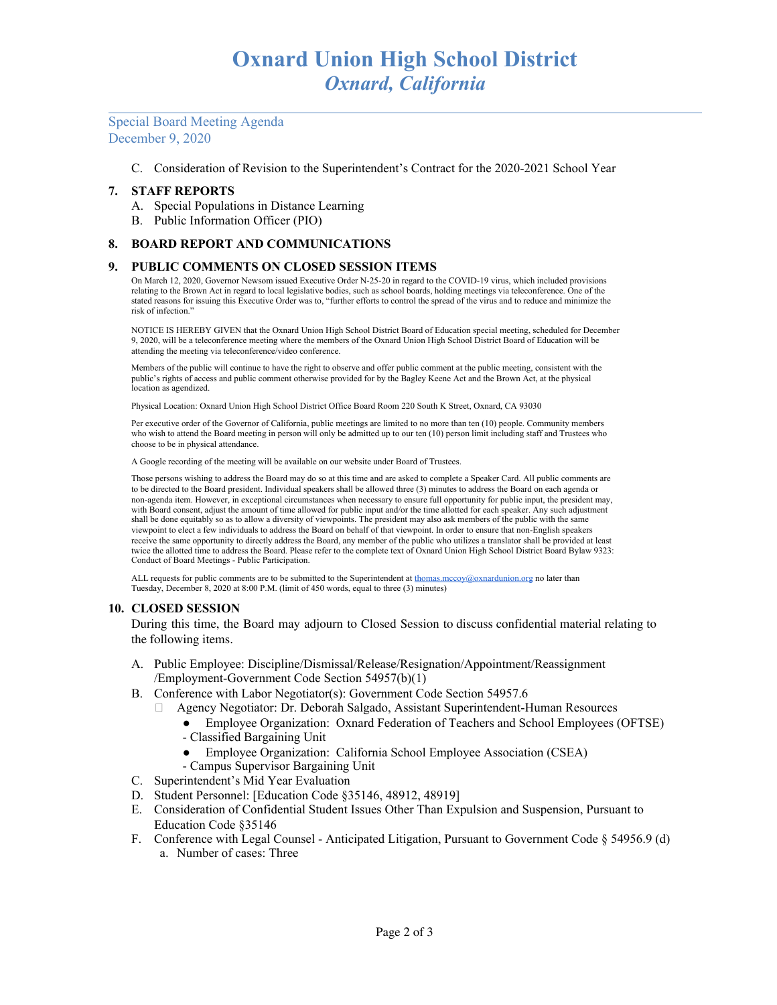Special Board Meeting Agenda December 9, 2020

C. Consideration of Revision to the Superintendent's Contract for the 2020-2021 School Year

# **7. STAFF REPORTS**

- A. Special Populations in Distance Learning
- B. Public Information Officer (PIO)

## **8. BOARD REPORT AND COMMUNICATIONS**

## **9. PUBLIC COMMENTS ON CLOSED SESSION ITEMS**

On March 12, 2020, Governor Newsom issued Executive Order N-25-20 in regard to the COVID-19 virus, which included provisions relating to the Brown Act in regard to local legislative bodies, such as school boards, holding meetings via teleconference. One of the stated reasons for issuing this Executive Order was to, "further efforts to control the spread of the virus and to reduce and minimize the risk of infection."

NOTICE IS HEREBY GIVEN that the Oxnard Union High School District Board of Education special meeting, scheduled for December 9, 2020, will be a teleconference meeting where the members of the Oxnard Union High School District Board of Education will be attending the meeting via teleconference/video conference.

Members of the public will continue to have the right to observe and offer public comment at the public meeting, consistent with the public's rights of access and public comment otherwise provided for by the Bagley Keene Act and the Brown Act, at the physical location as agendized.

Physical Location: Oxnard Union High School District Office Board Room 220 South K Street, Oxnard, CA 93030

Per executive order of the Governor of California, public meetings are limited to no more than ten (10) people. Community members who wish to attend the Board meeting in person will only be admitted up to our ten (10) person limit including staff and Trustees who choose to be in physical attendance.

A Google recording of the meeting will be available on our website under Board of Trustees.

Those persons wishing to address the Board may do so at this time and are asked to complete a Speaker Card. All public comments are to be directed to the Board president. Individual speakers shall be allowed three (3) minutes to address the Board on each agenda or non-agenda item. However, in exceptional circumstances when necessary to ensure full opportunity for public input, the president may, with Board consent, adjust the amount of time allowed for public input and/or the time allotted for each speaker. Any such adjustment shall be done equitably so as to allow a diversity of viewpoints. The president may also ask members of the public with the same viewpoint to elect a few individuals to address the Board on behalf of that viewpoint. In order to ensure that non-English speakers receive the same opportunity to directly address the Board, any member of the public who utilizes a translator shall be provided at least twice the allotted time to address the Board. Please refer to the complete text of Oxnard Union High School District Board Bylaw 9323: Conduct of Board Meetings - Public Participation.

ALL requests for public comments are to be submitted to the Superintendent at [thomas.mccoy@oxnardunion.org](mailto:thomas.mccoy@oxnardunion.org) no later than Tuesday, December 8, 2020 at 8:00 P.M. (limit of 450 words, equal to three (3) minutes)

#### **10. CLOSED SESSION**

During this time, the Board may adjourn to Closed Session to discuss confidential material relating to the following items.

- A. Public Employee: Discipline/Dismissal/Release/Resignation/Appointment/Reassignment /Employment-Government Code Section 54957(b)(1)
- B. Conference with Labor Negotiator(s): Government Code Section 54957.6
	- Agency Negotiator: Dr. Deborah Salgado, Assistant Superintendent-Human Resources
	- Employee Organization: Oxnard Federation of Teachers and School Employees (OFTSE)
	- Classified Bargaining Unit
	- Employee Organization: California School Employee Association (CSEA)
	- Campus Supervisor Bargaining Unit
- C. Superintendent's Mid Year Evaluation
- D. Student Personnel: [Education Code §35146, 48912, 48919]
- E. Consideration of Confidential Student Issues Other Than Expulsion and Suspension, Pursuant to Education Code §35146
- F. Conference with Legal Counsel Anticipated Litigation, Pursuant to Government Code § 54956.9 (d) a. Number of cases: Three